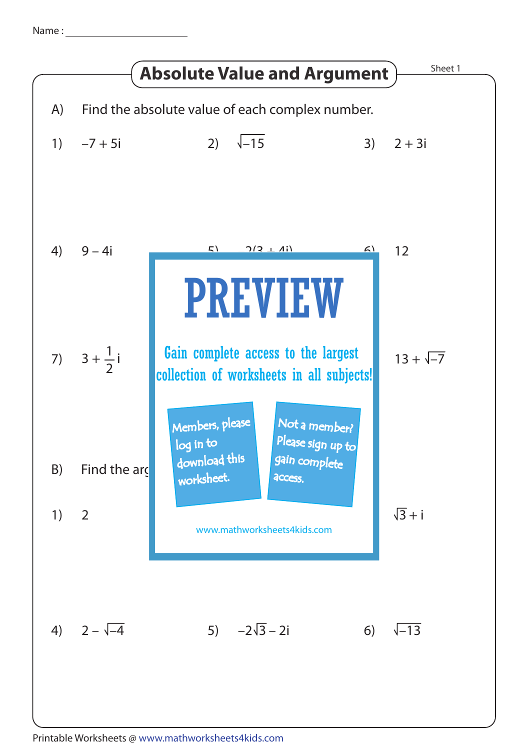